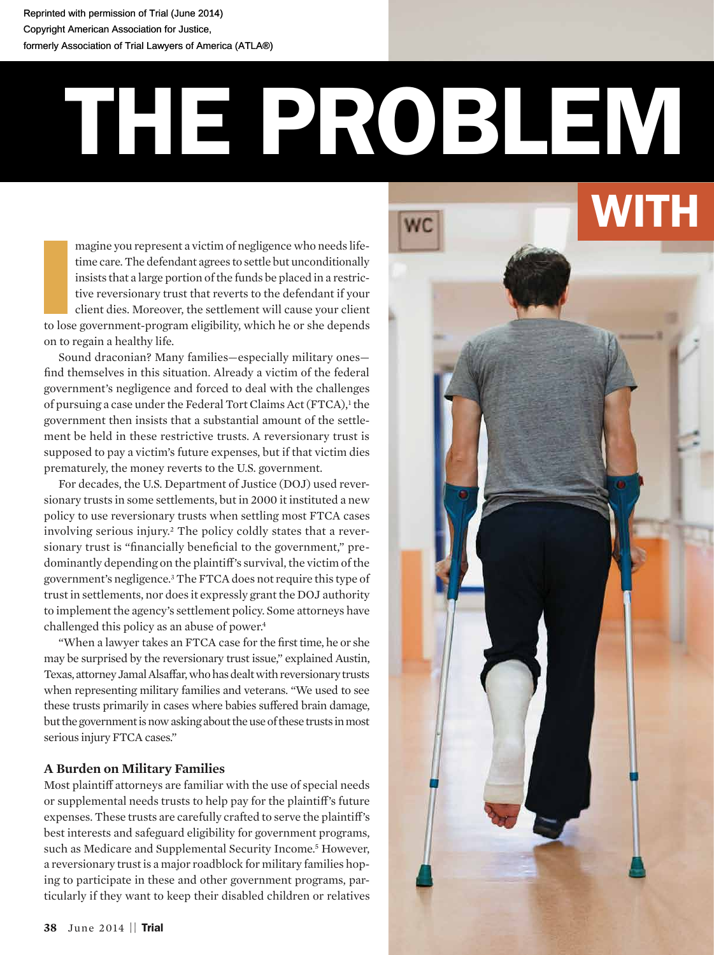Reprinted with permission of Trial (June 2014) Reprinted with permission of Trial (June 2014) Copyright American Association for Justice, Copyright American Association for Justice, formerly Association of Trial Lawyers of America (ATLA®) formerly Association of Trial Lawyers of America (ATLA®)

# THE PROBLEM

magine you represent a victim of negligence who needs lifetime care. The defendant agrees to settle but unconditionally insists that a large portion of the funds be placed in a restrictive reversionary trust that reverts to the defendant if your client dies. Moreover, the settlement will cause your client to lose government-program eligibility, which he or she depends on to regain a healthy life.

Sound draconian? Many families—especially military ones find themselves in this situation. Already a victim of the federal government's negligence and forced to deal with the challenges of pursuing a case under the Federal Tort Claims Act (FTCA),<sup>1</sup> the government then insists that a substantial amount of the settlement be held in these restrictive trusts. A reversionary trust is supposed to pay a victim's future expenses, but if that victim dies prematurely, the money reverts to the U.S. government.

For decades, the U.S. Department of Justice (DOJ) used reversionary trusts in some settlements, but in 2000 it instituted a new policy to use reversionary trusts when settling most FTCA cases involving serious injury.2 The policy coldly states that a reversionary trust is "financially beneficial to the government," predominantly depending on the plaintiff's survival, the victim of the government's negligence.3 The FTCA does not require this type of trust in settlements, nor does it expressly grant the DOJ authority to implement the agency's settlement policy. Some attorneys have challenged this policy as an abuse of power.<sup>4</sup>

"When a lawyer takes an FTCA case for the first time, he or she may be surprised by the reversionary trust issue," explained Austin, Texas, attorney Jamal Alsaffar, who has dealt with reversionary trusts when representing military families and veterans. "We used to see these trusts primarily in cases where babies suffered brain damage, but the government is now asking about the use of these trusts in most serious injury FTCA cases."

# **A Burden on Military Families**

Most plaintiff attorneys are familiar with the use of special needs or supplemental needs trusts to help pay for the plaintiff's future expenses. These trusts are carefully crafted to serve the plaintiff's best interests and safeguard eligibility for government programs, such as Medicare and Supplemental Security Income.<sup>5</sup> However, a reversionary trust is a major roadblock for military families hoping to participate in these and other government programs, particularly if they want to keep their disabled children or relatives

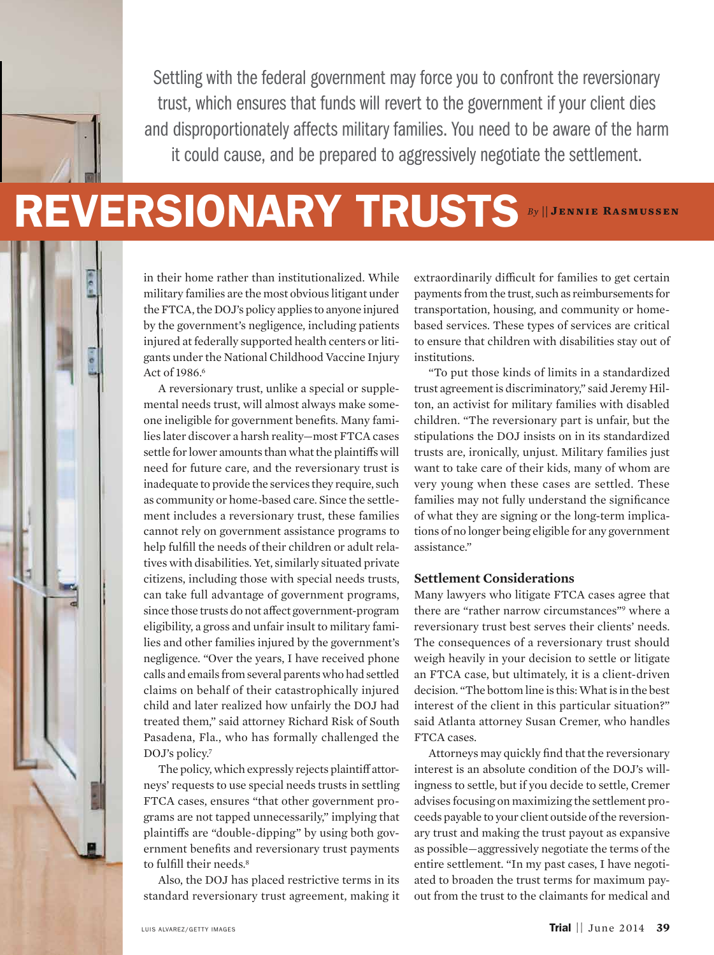

# **REVERSIONARY TRUSTS By || JENNIE RASMUSSEN**

in their home rather than institutionalized. While military families are the most obvious litigant under the FTCA, the DOJ's policy applies to anyone injured by the government's negligence, including patients injured at federally supported health centers or litigants under the National Childhood Vaccine Injury Act of 1986.<sup>6</sup>

A reversionary trust, unlike a special or supplemental needs trust, will almost always make someone ineligible for government benefits. Many families later discover a harsh reality—most FTCA cases settle for lower amounts than what the plaintiffs will need for future care, and the reversionary trust is inadequate to provide the services they require, such as community or home-based care. Since the settlement includes a reversionary trust, these families cannot rely on government assistance programs to help fulfill the needs of their children or adult relatives with disabilities. Yet, similarly situated private citizens, including those with special needs trusts, can take full advantage of government programs, since those trusts do not affect government-program eligibility, a gross and unfair insult to military families and other families injured by the government's negligence. "Over the years, I have received phone calls and emails from several parents who had settled claims on behalf of their catastrophically injured child and later realized how unfairly the DOJ had treated them," said attorney Richard Risk of South Pasadena, Fla., who has formally challenged the DOJ's policy.<sup>7</sup>

The policy, which expressly rejects plaintiff attorneys' requests to use special needs trusts in settling FTCA cases, ensures "that other government programs are not tapped unnecessarily," implying that plaintiffs are "double-dipping" by using both government benefits and reversionary trust payments to fulfill their needs<sup>8</sup>

Also, the DOJ has placed restrictive terms in its standard reversionary trust agreement, making it extraordinarily difficult for families to get certain payments from the trust, such as reimbursements for transportation, housing, and community or homebased services. These types of services are critical to ensure that children with disabilities stay out of institutions.

"To put those kinds of limits in a standardized trust agreement is discriminatory," said Jeremy Hilton, an activist for military families with disabled children. "The reversionary part is unfair, but the stipulations the DOJ insists on in its standardized trusts are, ironically, unjust. Military families just want to take care of their kids, many of whom are very young when these cases are settled. These families may not fully understand the significance of what they are signing or the long-term implications of no longer being eligible for any government assistance."

### **Settlement Considerations**

Many lawyers who litigate FTCA cases agree that there are "rather narrow circumstances"9 where a reversionary trust best serves their clients' needs. The consequences of a reversionary trust should weigh heavily in your decision to settle or litigate an FTCA case, but ultimately, it is a client-driven decision. "The bottom line is this: What is in the best interest of the client in this particular situation?" said Atlanta attorney Susan Cremer, who handles FTCA cases.

Attorneys may quickly find that the reversionary interest is an absolute condition of the DOJ's willingness to settle, but if you decide to settle, Cremer advises focusing on maximizing the settlement proceeds payable to your client outside of the reversionary trust and making the trust payout as expansive as possible—aggressively negotiate the terms of the entire settlement. "In my past cases, I have negotiated to broaden the trust terms for maximum payout from the trust to the claimants for medical and